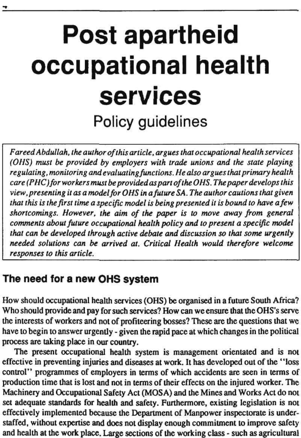# **Post apartheid occupational health services**  Policy guidelines

*Fareed Abdullah, the author of this article, argues thai occupational health services (OHS) must be provided by employers with trade unions and the state playing regulating, monitoring and evaluating functions. He also argues that primary health care (PHC)for workers must be provided as part of the OHS. The paper develops this view, presenting it as a model for OHS in a future SA. The author cautions that given that this is the first time a specific model is being presented it is bound to have a few shortcomings. However, the aim of the paper is to move away from general comments about future occupational health policy and to present a specific model that can be developed through active debate and discussion so that some urgently*  needed solutions can be arrived at. Critical Health would therefore welcome *responses to this article.* 

## **The need for a new OHS system**

How should occupational health services (OHS) be organised in a future South Africa? Who should provide and pay for such services? How can we ensure that the OHS's serve the interests of workers and not of profiteering bosses? These are the questions that we have to begin to answer urgently - given the rapid pace at which changes in the political

#### process are taking place in our country.

The present occupational health system is management orientated and is not effective in preventing injuries and diseases at work. It has developed out of the "loss control" programmes of employers in terms of which accidents are seen in terms of production time that is lost and not in terms of their effects on the injured worker. The Machinery and Occupational Safety Act (MOSA) and the Mines and Works Act do not set adequate standards for health and safety. Furthermore, existing legislation is not effectively implemented because the Department of Manpower inspectorate is understaffed, without expertise and does not display enough commitment to improve safety and health at the work place. Large sections of the working class - such as agricultural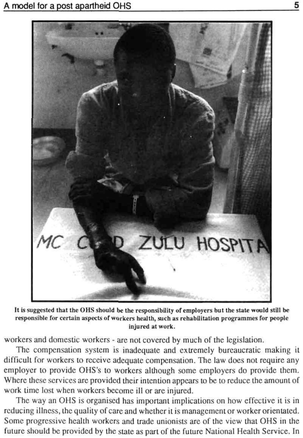

It is suggested that the OHS should be the responsibility of employers but the state would still be responsible for certain aspects of workers health, such as rehabilitation programmes for people injured at work.

workers and domestic workers - are not covered by much of the legislation.

The compensation system is inadequate and extremely bureaucratic making it difficult for workers to receive adequate compensation. The law does not require any employer to provide OHS's to workers although some employers do provide them. Where these services are provided their intention appears to be to reduce the amount of work time lost when workers become ill or are injured.

The way an OHS is organised has important implications on how effective it is in reducing illness, the quality of care and whether it is management or worker orientated. Some progressive health workers and trade unionists are of the view that OHS in the future should be provided by the slate as part of the future National Health Service. In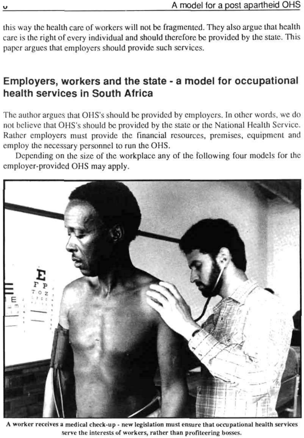this way the health care of workers will not be fragmented. They also argue thai health care is the right of every individual and should therefore be provided by the state. This paper argues that employers should provide such services.

# Employers, workers and the state - a model for occupational health services in South Africa

The author argues that OHS's should be provided by employers. In other words, we do not believe that OHS's should be provided by the state or the National Health Service. Rather employers must provide the financial resources, premises, equipment and employ the necessary personnel to run the OHS.

Depending on the size of the workplace any of the following four models for the employer-provided OHS may apply.



A worker receives a medical check-up - new legislation must ensure that occupational health services serve the interests of workers, rather than profiteering bosses.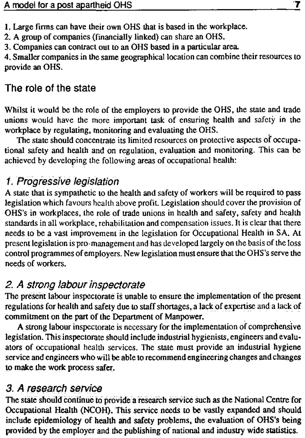1. Large firms can have their own OHS that is based in the workplace.

2. A group of companies (financially linked) can share an OHS.

3. Companies can contract out to an OHS based in a particular area.

4. Smaller companies in the same geographical location can combine their resources to provide an OHS.

# The role of the state

Whilst it would be the role of the employers to provide the OHS, the state and trade unions would have the more important task of ensuring health and safety in the workplace by regulating, monitoring and evaluating the OHS.

The state should concentrate its limited resources on protective aspects of occupational safety and health and on regulation, evaluation and monitoring. This can be achieved by developing the following areas of occupational health:

# /. Progressive legislation

A state that is sympathetic to the health and safety of workers will be required to pass legislation which favours health above profit. Legislation should cover the provision of OHS's in workplaces, the role of trade unions in health and safety, safety and health standards in all workplace, rehabilitation and compensation issues. It is clear that there needs to be a vast improvement in the legislation for Occupational Health in SA. At present legislation is pro-management and has developed largely on the basis of the loss control programmes of employers. New legislation must ensure that the OHS's serve the needs of workers.

# 2. A strong labour inspectorate

The present labour inspectorate is unable to ensure the implementation of the present regulations for health and safety due to staff shortages, a lack of expertise and a lack of commitment on the part of the Department of Manpower.

A strong labour inspectorate is necessary for the implementation of comprehensive legislation. This inspectorate should include industrial hygienists, engineers and evalu-

ators of occupational health services. The state must provide an industrial hygiene service and engineers who will be able to recommend engineering changes and changes to make the work process safer.

## 3. A research service

The state should continue to provide a research service such as the National Centre for Occupational Health (NCOH). This service needs to be vastly expanded and should include epidemiology of health and safety problems, the evaluation of OHS's being provided by the employer and the publishing of national and industry wide statistics.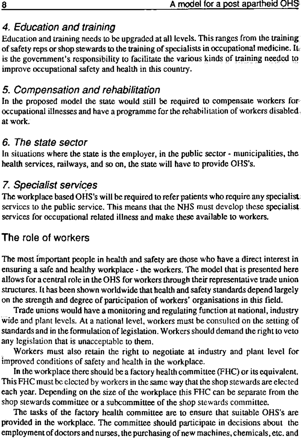# 4. Education and training

Education and training needs to be upgraded at all levels. This ranges from the training of safety reps or shop stewards to the training of specialists in occupational medicine. It is the government's responsibility to facilitate the various kinds of training needed to improve occupational safety and health in this country.

# 5. Compensation and rehabilitation

In the proposed model the state would still be required to compensate workers for occupational illnesses and have a programme for the rehabilitation of workers disabled at work.

## 6. The state sector

In situations where the state is the employer, in the public sector - municipalities, the health services, railways, and so on, the state will have to provide OHS's.

# 7. Specialist services

The workplace based OHS's will be required to refer patients who require any specialist services to the public service. This means that the NHS must develop these specialist services for occupational related illness and make these available to workers.

## The role of workers

- any legislation that is unacceptable to them.
- Workers must also retain the right to negotiate at industry and plant level for improved conditions of safety and health in the workplace.
- In the workplace there should be a factory health committee (FHC) or its equivalent. This FHC must be elected by workers in the same way that the shop stewards are elected each year. Depending on the size of the workplace this FHC can be separate from the shop stewards committee or a subcommittee of the shop stewards committee.
- The tasks of the factory health committee are to ensure that suitable OHS's are provided in the workplace. The committee should participate in decisions about the employment of doctors and nurses, the purchasing of new machines, chemicals, etc. and

The most important people in health and safety are those who have a direct interest in ensuring a safe and healthy workplace - the workers. The model that is presented here allows for a central role in the OHS for workers through their representative trade union structures. It has been shown worldwide that health and safety standards depend largely on the strength and degree of participation of workers' organisations in this field.

Trade unions would have a monitoring and regulating function at national, industry wide and plant levels. At a national level, workers must be consulted on the setting of standards and in the formulation of legislation. Workers should demand the right to veto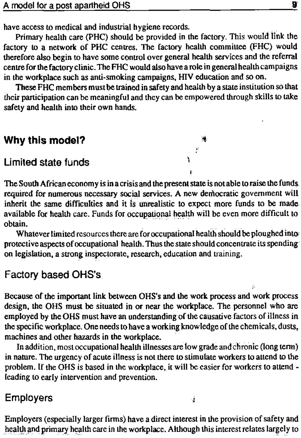have access to medical and industrial hygiene records.

Primary health care (PHC) should be provided in the factory. This would link the factory to a network of PHC centres. The factory health committee (FHC) would therefore also begin to have some control over general health services and the referral centre for the factory clinic. The FHC would also have a role in general health campaigns in the workplace such as anti-smoking campaigns, HIV education and so on.

These FHC members must be trained in safety and health by a state institution so that their participation can be meaningful and they can be empowered through skills to take safety and health into their own hands.

Whatever limited resources there are for occupational health should be ploughed into: protective aspects of occupational health. Thus the state should concentrate its spending on legislation, a strong inspectorate, research, education and training.

## Why this model? «

#### Limited state funds and the state of the state of  $\frac{1}{2}$

*t* 

The South African economy is in a crisis and the present state is not able to raise the funds required for numerous necessary social services. A new democratic government will inherit the same difficulties and it is unrealistic to expect more funds to be made available for health care. Funds for occupational health will be even more difficult to obtain.

## Factory based OHS's

i

Because of the important link between OHS's and the work process and work process design, the OHS must be situated in or near the workplace. The personnel who are employed by the OHS must have an understanding of the causative factors of illness in the specific workplace. One needs to have a working knowledge of the chemicals, dusts, machines and other hazards in the workplace.

In addition, most occupational health illnesses are low grade and chronic (long term) in nature. The urgency of acute illness is not there to stimulate workers to attend to the problem. If the OHS is based in the workplace, it will be easier for workers to attend leading to early intervention and prevention.

Employers j

Employers (especially larger firms) have a direct interest in the provision of safety and health and primary health care in the workplace. Although this interest relates largely to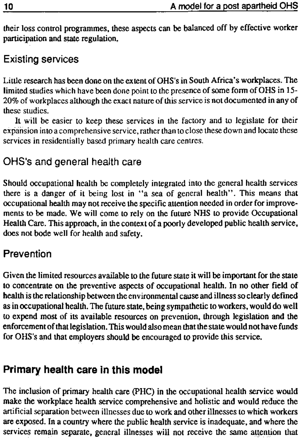their loss control programmes, these aspects can be balanced off by effective worker participation and state regulation.

## Existing services

Little research has been done on the extent of OHS's in South Africa's workplaces. The limited studies which have been done point to the presence of some form of OHS in 15- 20% of workplaces although the exact nature of this service is not documented in any of these studies.

It will be easier to keep these services in the factory and to legislate for their expansion into a comprehensive service, rather than to close these down and locate these services in residentially based primary health care centres.

# OHS's and general health care

Should occupational health be completely integrated into the general health services there is a danger of it being lost in \*\*a sea of general health". This means that occupational health may not receive the specific attention needed in order for improvements to be made. We will come to rely on the future NHS to provide Occupational Health Care. This approach, in the context of a poorly developed public health service, does not bode well for health and safety.

## **Prevention**

Given the limited resources available to the future state it will be important for the state to concentrate on the preventive aspects of occupational health. In no other field of health is the relationship between the environmental cause and illness so clearly defined as in occupational health. The future state, being sympathetic to workers, would do well to expend most of its available resources on prevention, through legislation and the enforcement of that legislation. This would also mean that the state would not have funds for OHS's and that employers should be encouraged to provide this service.

# **Primary health care in this mode!**

The inclusion of primary health care (PHC) in the occupational health service would make the workplace health service comprehensive and holistic and would reduce the artificial separation between illnesses due to work and other illnesses to which workers are exposed. In a country where the public health service is inadequate, and where the services remain separate, general illnesses will not receive the same attention that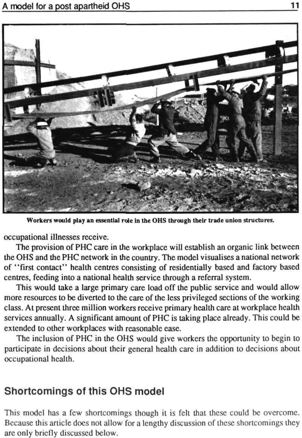

Workers would play an essential role in the OHS through their trade union structures.

occupational illnesses receive.

The provision of PHC care in the workplace will establish an organic link between the OHS and the PHC network in the country. The model visualises a national network of "first contact" health centres consisting of residentially based and factory based centres, feeding into a national health service through a referral system.

This would take a large primary care load off the public service and would allow more resources to be diverted to the care of the less privileged sections of the working class. At present three million workers receive primary health care at workplace health services annually. A significant amount of PHC is taking place already. This could be extended to other workplaces with reasonable ease.

The inclusion of PHC in the OHS would give workers the opportunity to begin to

participate in decisions about their general health care in addition to decisions about occupational health.

#### Shortcomings of this OHS model

This model has a few shortcomings though it is fell that these could be overcome. Because this article does not allow for a lengthy discussion of these shortcomings they arc only briefly discussed below.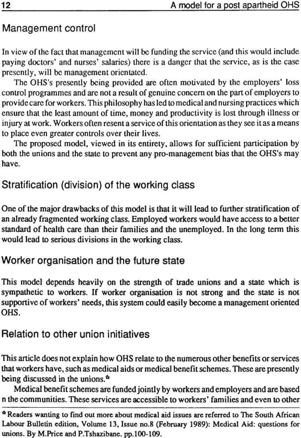## Management control

In view of the fact that management will be funding the service (and this would include paying doctors' and nurses' salaries) there is a danger that the service, as is the case presently, will be management orientated.

The OHS's presently being provided are often motivated by the employers' loss control programmes and are not a result of genuine concern on the part of employers to provide care for workers. This philosophy has led to medical and nursing practices which ensure that the least amount of time, money and productivity is lost through illness or injury at work. Workers often resent a service of this orientation as they see itas a means to place even greater controls over their lives.

The proposed model, viewed in its entirety, allows for sufficient participation by both the unions and the state to prevent any pro-management bias that the OHS's may have.

## Stratification (division) of the working class

One of the major drawbacks of this model is that it will lead to further stratification of an already fragmented working class. Employed workers would have access to a better standard of health care than their families and the unemployed. In the long term this would lead to serious divisions in the working class.

## Worker organisation and the future state

This model depends heavily on the strength of trade unions and a state which is sympathetic to workers. If worker organisation is not strong and the state is not supportive of workers' needs, this system could easily become a management oriented OHS.

#### Relation to other union initiatives

- This article does not explain how OHS relate to the numerous other benefits or services that workers have, such as medical aids or medical benefit schemes. These are presently being discussed in the unions.\*
- Medical benefit schemes are funded jointly by workers and employers and are based n the communities. These services are accessible to workers' families and even to other
- \* Readers wanting to find out more about medical aid issues are referred to The South African Labour Bulletin edition, Volume 13, Issue no.8 (February 1989): Medical Aid: questions for unions. By M.Price and P.Tshazibane. pp.100-109.